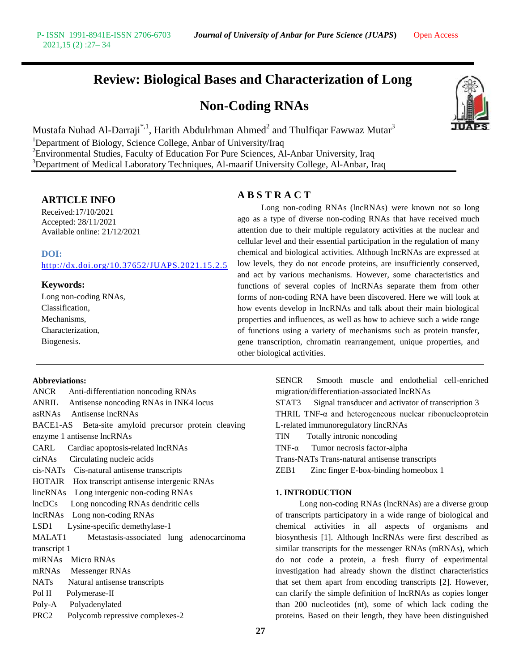## **Review: Biological Bases and Characterization of Long**

## **Non-Coding RNAs**



Mustafa Nuhad Al-Darraji $\displaystyle{{}^{*,1}},$  Harith Abdulrhman Ahmed ${}^{2}$  and Thulfiqar Fawwaz Mutar ${}^{3}$ <sup>1</sup>Department of Biology, Science College, Anbar of University/Iraq  $2$ Environmental Studies, Faculty of Education For Pure Sciences, Al-Anbar University, Iraq <sup>3</sup>Department of Medical Laboratory Techniques, Al-maarif University College, Al-Anbar, Iraq

## **ARTICLE INFO**

Received:17/10/2021 Accepted: 28/11/2021 Available online: 21/12/2021

## **DOI:**

<http://dx.doi.org/10.37652/JUAPS.2021.15.2.5>

## **Keywords:**

Long non-coding RNAs, Classification, Mechanisms, Characterization, Biogenesis.

## **A B S T R A C T**

Long non-coding RNAs (lncRNAs) were known not so long ago as a type of diverse non-coding RNAs that have received much attention due to their multiple regulatory activities at the nuclear and cellular level and their essential participation in the regulation of many chemical and biological activities. Although lncRNAs are expressed at low levels, they do not encode proteins, are insufficiently conserved, and act by various mechanisms. However, some characteristics and functions of several copies of lncRNAs separate them from other forms of non-coding RNA have been discovered. Here we will look at how events develop in lncRNAs and talk about their main biological properties and influences, as well as how to achieve such a wide range of functions using a variety of mechanisms such as protein transfer, gene transcription, chromatin rearrangement, unique properties, and other biological activities.

#### **Abbreviations:**

|                                                 | ANCR Anti-differentiation noncoding RNAs              |  |  |
|-------------------------------------------------|-------------------------------------------------------|--|--|
|                                                 | ANRIL Antisense noncoding RNAs in INK4 locus          |  |  |
| asRNAs Antisense lncRNAs                        |                                                       |  |  |
|                                                 | BACE1-AS Beta-site amyloid precursor protein cleaving |  |  |
| enzyme 1 antisense lncRNAs                      |                                                       |  |  |
| Cardiac apoptosis-related lncRNAs<br>CARL       |                                                       |  |  |
| cirNAs Circulating nucleic acids                |                                                       |  |  |
| cis-NATs Cis-natural antisense transcripts      |                                                       |  |  |
| HOTAIR Hox transcript antisense intergenic RNAs |                                                       |  |  |
| lincRNAs Long intergenic non-coding RNAs        |                                                       |  |  |
| lncDCs<br>Long noncoding RNAs dendritic cells   |                                                       |  |  |
| lncRNAs Long non-coding RNAs                    |                                                       |  |  |
| Lysine-specific demethylase-1<br>LSD1           |                                                       |  |  |
| MALAT1                                          | Metastasis-associated lung adenocarcinoma             |  |  |
| transcript 1                                    |                                                       |  |  |
|                                                 | miRNAs Micro RNAs                                     |  |  |
|                                                 | mRNAs Messenger RNAs                                  |  |  |
|                                                 | NATs Natural antisense transcripts                    |  |  |
|                                                 | Pol II Polymerase-II                                  |  |  |
|                                                 | Poly-A Polyadenylated                                 |  |  |
| PRC2                                            | Polycomb repressive complexes-2                       |  |  |
|                                                 |                                                       |  |  |

SENCR Smooth muscle and endothelial cell-enriched migration/differentiation-associated lncRNAs STAT3 Signal transducer and activator of transcription 3 THRIL TNF-α and heterogeneous nuclear ribonucleoprotein L-related immunoregulatory lincRNAs TIN Totally intronic noncoding TNF-α Tumor necrosis factor-alpha

Trans-NATs Trans-natural antisense transcripts

ZEB1 Zinc finger E-box-binding homeobox 1

### **1. INTRODUCTION**

Long non-coding RNAs (lncRNAs) are a diverse group of transcripts participatory in a wide range of biological and chemical activities in all aspects of organisms and biosynthesis [1]. Although lncRNAs were first described as similar transcripts for the messenger RNAs (mRNAs), which do not code a protein, a fresh flurry of experimental investigation had already shown the distinct characteristics that set them apart from encoding transcripts [2]. However, can clarify the simple definition of lncRNAs as copies longer than 200 nucleotides (nt), some of which lack coding the proteins. Based on their length, they have been distinguished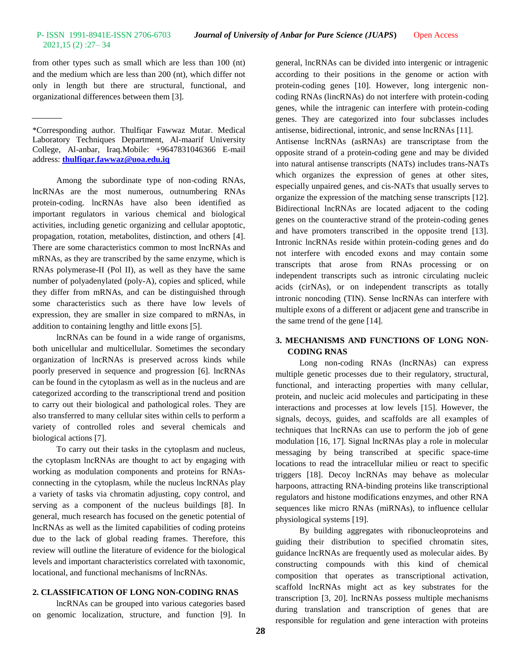# 2021,15 (2) :27– 34

from other types such as small which are less than 100 (nt) and the medium which are less than 200 (nt), which differ not only in length but there are structural, functional, and organizational differences between them [3].

\*Corresponding author. Thulfiqar Fawwaz Mutar. Medical Laboratory Techniques Department, Al-maarif University College, Al-anbar, Iraq.Mobile: +9647831046366 E-mail address: **[thulfiqar.fawwaz@uoa.edu.iq](mailto:thulfiqar.fawwaz@uoa.edu.iq)**

Among the subordinate type of non-coding RNAs, lncRNAs are the most numerous, outnumbering RNAs protein-coding. lncRNAs have also been identified as important regulators in various chemical and biological activities, including genetic organizing and cellular apoptotic, propagation, rotation, metabolites, distinction, and others [4]. There are some characteristics common to most lncRNAs and mRNAs, as they are transcribed by the same enzyme, which is RNAs polymerase-II (Pol II), as well as they have the same number of polyadenylated (poly-A), copies and spliced, while they differ from mRNAs, and can be distinguished through some characteristics such as there have low levels of expression, they are smaller in size compared to mRNAs, in addition to containing lengthy and little exons [5].

lncRNAs can be found in a wide range of organisms, both unicellular and multicellular. Sometimes the secondary organization of lncRNAs is preserved across kinds while poorly preserved in sequence and progression [6]. lncRNAs can be found in the cytoplasm as well as in the nucleus and are categorized according to the transcriptional trend and position to carry out their biological and pathological roles. They are also transferred to many cellular sites within cells to perform a variety of controlled roles and several chemicals and biological actions [7].

To carry out their tasks in the cytoplasm and nucleus, the cytoplasm lncRNAs are thought to act by engaging with working as modulation components and proteins for RNAsconnecting in the cytoplasm, while the nucleus lncRNAs play a variety of tasks via chromatin adjusting, copy control, and serving as a component of the nucleus buildings [8]. In general, much research has focused on the genetic potential of lncRNAs as well as the limited capabilities of coding proteins due to the lack of global reading frames. Therefore, this review will outline the literature of evidence for the biological levels and important characteristics correlated with taxonomic, locational, and functional mechanisms of lncRNAs.

## **2. CLASSIFICATION OF LONG NON-CODING RNAS**

lncRNAs can be grouped into various categories based on genomic localization, structure, and function [9]. In general, lncRNAs can be divided into intergenic or intragenic according to their positions in the genome or action with protein-coding genes [10]. However, long intergenic noncoding RNAs (lincRNAs) do not interfere with protein-coding genes, while the intragenic can interfere with protein-coding genes. They are categorized into four subclasses includes antisense, bidirectional, intronic, and sense lncRNAs [11].

Antisense lncRNAs (asRNAs) are transcriptase from the opposite strand of a protein-coding gene and may be divided into natural antisense transcripts (NATs) includes trans-NATs which organizes the expression of genes at other sites, especially unpaired genes, and cis-NATs that usually serves to organize the expression of the matching sense transcripts [12]. Bidirectional lncRNAs are located adjacent to the coding genes on the counteractive strand of the protein-coding genes and have promoters transcribed in the opposite trend [13]. Intronic lncRNAs reside within protein-coding genes and do not interfere with encoded exons and may contain some transcripts that arose from RNAs processing or on independent transcripts such as intronic circulating nucleic acids (cirNAs), or on independent transcripts as totally intronic noncoding (TIN). Sense lncRNAs can interfere with multiple exons of a different or adjacent gene and transcribe in the same trend of the gene [14].

## **3. MECHANISMS AND FUNCTIONS OF LONG NON-CODING RNAS**

Long non-coding RNAs (lncRNAs) can express multiple genetic processes due to their regulatory, structural, functional, and interacting properties with many cellular, protein, and nucleic acid molecules and participating in these interactions and processes at low levels [15]. However, the signals, decoys, guides, and scaffolds are all examples of techniques that lncRNAs can use to perform the job of gene modulation [16, 17]. Signal lncRNAs play a role in molecular messaging by being transcribed at specific space-time locations to read the intracellular milieu or react to specific triggers [18]. Decoy lncRNAs may behave as molecular harpoons, attracting RNA-binding proteins like transcriptional regulators and histone modifications enzymes, and other RNA sequences like micro RNAs (miRNAs), to influence cellular physiological systems [19].

By building aggregates with ribonucleoproteins and guiding their distribution to specified chromatin sites, guidance lncRNAs are frequently used as molecular aides. By constructing compounds with this kind of chemical composition that operates as transcriptional activation, scaffold lncRNAs might act as key substrates for the transcription [3, 20]. lncRNAs possess multiple mechanisms during translation and transcription of genes that are responsible for regulation and gene interaction with proteins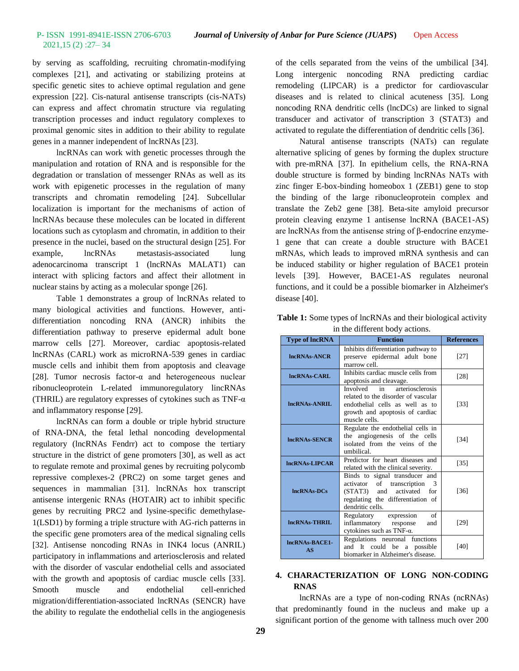by serving as scaffolding, recruiting chromatin-modifying complexes [21], and activating or stabilizing proteins at specific genetic sites to achieve optimal regulation and gene expression [22]. Cis-natural antisense transcripts (cis-NATs) can express and affect chromatin structure via regulating transcription processes and induct regulatory complexes to proximal genomic sites in addition to their ability to regulate genes in a manner independent of lncRNAs [23].

lncRNAs can work with genetic processes through the manipulation and rotation of RNA and is responsible for the degradation or translation of messenger RNAs as well as its work with epigenetic processes in the regulation of many transcripts and chromatin remodeling [24]. Subcellular localization is important for the mechanisms of action of lncRNAs because these molecules can be located in different locations such as cytoplasm and chromatin, in addition to their presence in the nuclei, based on the structural design [25]. For example, lncRNAs metastasis-associated lung adenocarcinoma transcript 1 (lncRNAs MALAT1) can interact with splicing factors and affect their allotment in nuclear stains by acting as a molecular sponge [26].

Table 1 demonstrates a group of lncRNAs related to many biological activities and functions. However, antidifferentiation noncoding RNA (ANCR) inhibits the differentiation pathway to preserve epidermal adult bone marrow cells [27]. Moreover, cardiac apoptosis-related lncRNAs (CARL) work as microRNA-539 genes in cardiac muscle cells and inhibit them from apoptosis and cleavage [28]. Tumor necrosis factor-α and heterogeneous nuclear ribonucleoprotein L-related immunoregulatory lincRNAs (THRIL) are regulatory expresses of cytokines such as TNF- $\alpha$ and inflammatory response [29].

lncRNAs can form a double or triple hybrid structure of RNA-DNA, the fetal lethal noncoding developmental regulatory (lncRNAs Fendrr) act to compose the tertiary structure in the district of gene promoters [30], as well as act to regulate remote and proximal genes by recruiting polycomb repressive complexes-2 (PRC2) on some target genes and sequences in mammalian [31]. lncRNAs hox transcript antisense intergenic RNAs (HOTAIR) act to inhibit specific genes by recruiting PRC2 and lysine-specific demethylase-1(LSD1) by forming a triple structure with AG-rich patterns in the specific gene promoters area of the medical signaling cells [32]. Antisense noncoding RNAs in INK4 locus (ANRIL) participatory in inflammations and arteriosclerosis and related with the disorder of vascular endothelial cells and associated with the growth and apoptosis of cardiac muscle cells [33]. Smooth muscle and endothelial cell-enriched migration/differentiation-associated lncRNAs (SENCR) have the ability to regulate the endothelial cells in the angiogenesis

of the cells separated from the veins of the umbilical [34]. Long intergenic noncoding RNA predicting cardiac remodeling (LIPCAR) is a predictor for cardiovascular diseases and is related to clinical acuteness [35]. Long noncoding RNA dendritic cells (lncDCs) are linked to signal transducer and activator of transcription 3 (STAT3) and activated to regulate the differentiation of dendritic cells [36].

Natural antisense transcripts (NATs) can regulate alternative splicing of genes by forming the duplex structure with pre-mRNA [37]. In epithelium cells, the RNA-RNA double structure is formed by binding lncRNAs NATs with zinc finger E-box-binding homeobox 1 (ZEB1) gene to stop the binding of the large ribonucleoprotein complex and translate the Zeb2 gene [38]. Beta-site amyloid precursor protein cleaving enzyme 1 antisense lncRNA (BACE1-AS) are lncRNAs from the antisense string of β-endocrine enzyme-1 gene that can create a double structure with BACE1 mRNAs, which leads to improved mRNA synthesis and can be induced stability or higher regulation of BACE1 protein levels [39]. However, BACE1-AS regulates neuronal functions, and it could be a possible biomarker in Alzheimer's disease [40].

| <b>Type of lncRNA</b> | <b>Function</b>                                                                                                                                               | <b>References</b> |
|-----------------------|---------------------------------------------------------------------------------------------------------------------------------------------------------------|-------------------|
| <b>IncRNAs-ANCR</b>   | Inhibits differentiation pathway to<br>preserve epidermal adult bone<br>marrow cell.                                                                          | $[27]$            |
| IncRNAs-CARL          | Inhibits cardiac muscle cells from<br>apoptosis and cleavage.                                                                                                 | $[28]$            |
| IncRNAs-ANRIL         | arteriosclerosis<br>Involved in<br>related to the disorder of vascular<br>endothelial cells as well as to<br>growth and apoptosis of cardiac<br>muscle cells. | $[33]$            |
| <b>IncRNAs-SENCR</b>  | Regulate the endothelial cells in<br>the angiogenesis of the cells<br>isolated from the veins of the<br>umbilical.                                            | [34]              |
| <b>IncRNAs-LIPCAR</b> | Predictor for heart diseases and<br>related with the clinical severity.                                                                                       | $[35]$            |
| <b>IncRNAs-DCs</b>    | Binds to signal transducer and<br>activator of transcription 3<br>(STAT3) and activated for<br>regulating the differentiation of<br>dendritic cells.          | $[36]$            |
| IncRNAs-THRIL         | of<br>Regulatory expression<br>inflammatory response<br>and<br>cytokines such as TNF-α.                                                                       | [29]              |
| IncRNAs-BACE1-<br>AS  | Regulations neuronal functions<br>and It could be a possible<br>biomarker in Alzheimer's disease.                                                             | [40]              |

**Table 1:** Some types of lncRNAs and their biological activity in the different body actions.

## **4. CHARACTERIZATION OF LONG NON-CODING RNAS**

lncRNAs are a type of non-coding RNAs (ncRNAs) that predominantly found in the nucleus and make up a significant portion of the genome with tallness much over 200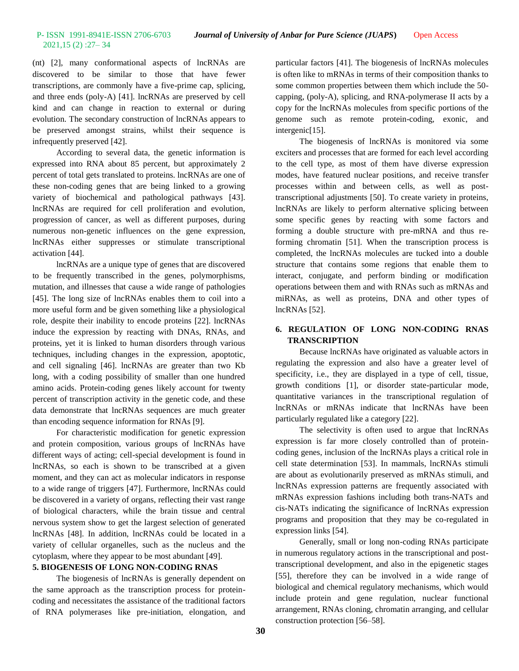(nt) [2], many conformational aspects of lncRNAs are discovered to be similar to those that have fewer transcriptions, are commonly have a five-prime cap, splicing, and three ends (poly-A) [41]. lncRNAs are preserved by cell kind and can change in reaction to external or during evolution. The secondary construction of lncRNAs appears to be preserved amongst strains, whilst their sequence is infrequently preserved [42].

According to several data, the genetic information is expressed into RNA about 85 percent, but approximately 2 percent of total gets translated to proteins. lncRNAs are one of these non-coding genes that are being linked to a growing variety of biochemical and pathological pathways [43]. lncRNAs are required for cell proliferation and evolution, progression of cancer, as well as different purposes, during numerous non-genetic influences on the gene expression, lncRNAs either suppresses or stimulate transcriptional activation [44].

lncRNAs are a unique type of genes that are discovered to be frequently transcribed in the genes, polymorphisms, mutation, and illnesses that cause a wide range of pathologies [45]. The long size of lncRNAs enables them to coil into a more useful form and be given something like a physiological role, despite their inability to encode proteins [22]. lncRNAs induce the expression by reacting with DNAs, RNAs, and proteins, yet it is linked to human disorders through various techniques, including changes in the expression, apoptotic, and cell signaling [46]. lncRNAs are greater than two Kb long, with a coding possibility of smaller than one hundred amino acids. Protein-coding genes likely account for twenty percent of transcription activity in the genetic code, and these data demonstrate that lncRNAs sequences are much greater than encoding sequence information for RNAs [9].

For characteristic modification for genetic expression and protein composition, various groups of lncRNAs have different ways of acting; cell-special development is found in lncRNAs, so each is shown to be transcribed at a given moment, and they can act as molecular indicators in response to a wide range of triggers [47]. Furthermore, lncRNAs could be discovered in a variety of organs, reflecting their vast range of biological characters, while the brain tissue and central nervous system show to get the largest selection of generated lncRNAs [48]. In addition, lncRNAs could be located in a variety of cellular organelles, such as the nucleus and the cytoplasm, where they appear to be most abundant [49].

#### **5. BIOGENESIS OF LONG NON-CODING RNAS**

The biogenesis of lncRNAs is generally dependent on the same approach as the transcription process for proteincoding and necessitates the assistance of the traditional factors of RNA polymerases like pre-initiation, elongation, and particular factors [41]. The biogenesis of lncRNAs molecules is often like to mRNAs in terms of their composition thanks to some common properties between them which include the 50 capping, (poly-A), splicing, and RNA-polymerase II acts by a copy for the lncRNAs molecules from specific portions of the genome such as remote protein-coding, exonic, and intergenic[15].

The biogenesis of lncRNAs is monitored via some exciters and processes that are formed for each level according to the cell type, as most of them have diverse expression modes, have featured nuclear positions, and receive transfer processes within and between cells, as well as posttranscriptional adjustments [50]. To create variety in proteins, lncRNAs are likely to perform alternative splicing between some specific genes by reacting with some factors and forming a double structure with pre-mRNA and thus reforming chromatin [51]. When the transcription process is completed, the lncRNAs molecules are tucked into a double structure that contains some regions that enable them to interact, conjugate, and perform binding or modification operations between them and with RNAs such as mRNAs and miRNAs, as well as proteins, DNA and other types of lncRNAs [52].

## **6. REGULATION OF LONG NON-CODING RNAS TRANSCRIPTION**

Because lncRNAs have originated as valuable actors in regulating the expression and also have a greater level of specificity, i.e., they are displayed in a type of cell, tissue, growth conditions [1], or disorder state-particular mode, quantitative variances in the transcriptional regulation of lncRNAs or mRNAs indicate that lncRNAs have been particularly regulated like a category [22].

The selectivity is often used to argue that lncRNAs expression is far more closely controlled than of proteincoding genes, inclusion of the lncRNAs plays a critical role in cell state determination [53]. In mammals, lncRNAs stimuli are about as evolutionarily preserved as mRNAs stimuli, and lncRNAs expression patterns are frequently associated with mRNAs expression fashions including both trans-NATs and cis-NATs indicating the significance of lncRNAs expression programs and proposition that they may be co-regulated in expression links [54].

Generally, small or long non-coding RNAs participate in numerous regulatory actions in the transcriptional and posttranscriptional development, and also in the epigenetic stages [55], therefore they can be involved in a wide range of biological and chemical regulatory mechanisms, which would include protein and gene regulation, nuclear functional arrangement, RNAs cloning, chromatin arranging, and cellular construction protection [56–58].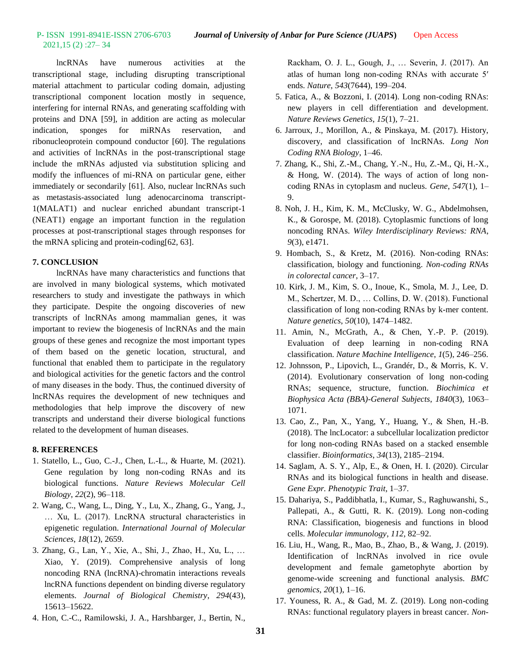lncRNAs have numerous activities at the transcriptional stage, including disrupting transcriptional material attachment to particular coding domain, adjusting transcriptional component location mostly in sequence, interfering for internal RNAs, and generating scaffolding with proteins and DNA [59], in addition are acting as molecular indication, sponges for miRNAs reservation, and ribonucleoprotein compound conductor [60]. The regulations and activities of lncRNAs in the post-transcriptional stage include the mRNAs adjusted via substitution splicing and modify the influences of mi-RNA on particular gene, either immediately or secondarily [61]. Also, nuclear lncRNAs such as metastasis-associated lung adenocarcinoma transcript-1(MALAT1) and nuclear enriched abundant transcript-1 (NEAT1) engage an important function in the regulation processes at post-transcriptional stages through responses for the mRNA splicing and protein-coding[62, 63].

### **7. CONCLUSION**

lncRNAs have many characteristics and functions that are involved in many biological systems, which motivated researchers to study and investigate the pathways in which they participate. Despite the ongoing discoveries of new transcripts of lncRNAs among mammalian genes, it was important to review the biogenesis of lncRNAs and the main groups of these genes and recognize the most important types of them based on the genetic location, structural, and functional that enabled them to participate in the regulatory and biological activities for the genetic factors and the control of many diseases in the body. Thus, the continued diversity of lncRNAs requires the development of new techniques and methodologies that help improve the discovery of new transcripts and understand their diverse biological functions related to the development of human diseases.

#### **8. REFERENCES**

- 1. Statello, L., Guo, C.-J., Chen, L.-L., & Huarte, M. (2021). Gene regulation by long non-coding RNAs and its biological functions. *Nature Reviews Molecular Cell Biology*, *22*(2), 96–118.
- 2. Wang, C., Wang, L., Ding, Y., Lu, X., Zhang, G., Yang, J., … Xu, L. (2017). LncRNA structural characteristics in epigenetic regulation. *International Journal of Molecular Sciences*, *18*(12), 2659.
- 3. Zhang, G., Lan, Y., Xie, A., Shi, J., Zhao, H., Xu, L., … Xiao, Y. (2019). Comprehensive analysis of long noncoding RNA (lncRNA)-chromatin interactions reveals lncRNA functions dependent on binding diverse regulatory elements. *Journal of Biological Chemistry*, *294*(43), 15613–15622.
- 4. Hon, C.-C., Ramilowski, J. A., Harshbarger, J., Bertin, N.,

Rackham, O. J. L., Gough, J., … Severin, J. (2017). An atlas of human long non-coding RNAs with accurate 5′ ends. *Nature*, *543*(7644), 199–204.

- 5. Fatica, A., & Bozzoni, I. (2014). Long non-coding RNAs: new players in cell differentiation and development. *Nature Reviews Genetics*, *15*(1), 7–21.
- 6. Jarroux, J., Morillon, A., & Pinskaya, M. (2017). History, discovery, and classification of lncRNAs. *Long Non Coding RNA Biology*, 1–46.
- 7. Zhang, K., Shi, Z.-M., Chang, Y.-N., Hu, Z.-M., Qi, H.-X., & Hong, W. (2014). The ways of action of long noncoding RNAs in cytoplasm and nucleus. *Gene*, *547*(1), 1– 9.
- 8. Noh, J. H., Kim, K. M., McClusky, W. G., Abdelmohsen, K., & Gorospe, M. (2018). Cytoplasmic functions of long noncoding RNAs. *Wiley Interdisciplinary Reviews: RNA*, *9*(3), e1471.
- 9. Hombach, S., & Kretz, M. (2016). Non-coding RNAs: classification, biology and functioning. *Non-coding RNAs in colorectal cancer*, 3–17.
- 10. Kirk, J. M., Kim, S. O., Inoue, K., Smola, M. J., Lee, D. M., Schertzer, M. D., … Collins, D. W. (2018). Functional classification of long non-coding RNAs by k-mer content. *Nature genetics*, *50*(10), 1474–1482.
- 11. Amin, N., McGrath, A., & Chen, Y.-P. P. (2019). Evaluation of deep learning in non-coding RNA classification. *Nature Machine Intelligence*, *1*(5), 246–256.
- 12. Johnsson, P., Lipovich, L., Grandér, D., & Morris, K. V. (2014). Evolutionary conservation of long non-coding RNAs; sequence, structure, function. *Biochimica et Biophysica Acta (BBA)-General Subjects*, *1840*(3), 1063– 1071.
- 13. Cao, Z., Pan, X., Yang, Y., Huang, Y., & Shen, H.-B. (2018). The lncLocator: a subcellular localization predictor for long non-coding RNAs based on a stacked ensemble classifier. *Bioinformatics*, *34*(13), 2185–2194.
- 14. Saglam, A. S. Y., Alp, E., & Onen, H. I. (2020). Circular RNAs and its biological functions in health and disease. *Gene Expr. Phenotypic Trait*, 1–37.
- 15. Dahariya, S., Paddibhatla, I., Kumar, S., Raghuwanshi, S., Pallepati, A., & Gutti, R. K. (2019). Long non-coding RNA: Classification, biogenesis and functions in blood cells. *Molecular immunology*, *112*, 82–92.
- 16. Liu, H., Wang, R., Mao, B., Zhao, B., & Wang, J. (2019). Identification of lncRNAs involved in rice ovule development and female gametophyte abortion by genome-wide screening and functional analysis. *BMC genomics*, *20*(1), 1–16.
- 17. Youness, R. A., & Gad, M. Z. (2019). Long non-coding RNAs: functional regulatory players in breast cancer. *Non-*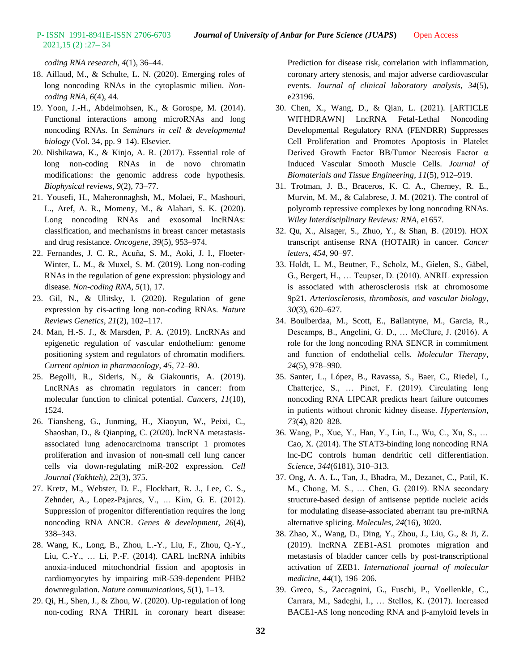# 2021,15 (2) :27– 34

*coding RNA research*, *4*(1), 36–44.

- 18. Aillaud, M., & Schulte, L. N. (2020). Emerging roles of long noncoding RNAs in the cytoplasmic milieu. *Noncoding RNA*, *6*(4), 44.
- 19. Yoon, J.-H., Abdelmohsen, K., & Gorospe, M. (2014). Functional interactions among microRNAs and long noncoding RNAs. In *Seminars in cell & developmental biology* (Vol. 34, pp. 9–14). Elsevier.
- 20. Nishikawa, K., & Kinjo, A. R. (2017). Essential role of long non-coding RNAs in de novo chromatin modifications: the genomic address code hypothesis. *Biophysical reviews*, *9*(2), 73–77.
- 21. Yousefi, H., Maheronnaghsh, M., Molaei, F., Mashouri, L., Aref, A. R., Momeny, M., & Alahari, S. K. (2020). Long noncoding RNAs and exosomal lncRNAs: classification, and mechanisms in breast cancer metastasis and drug resistance. *Oncogene*, *39*(5), 953–974.
- 22. Fernandes, J. C. R., Acuña, S. M., Aoki, J. I., Floeter-Winter, L. M., & Muxel, S. M. (2019). Long non-coding RNAs in the regulation of gene expression: physiology and disease. *Non-coding RNA*, *5*(1), 17.
- 23. Gil, N., & Ulitsky, I. (2020). Regulation of gene expression by cis-acting long non-coding RNAs. *Nature Reviews Genetics*, *21*(2), 102–117.
- 24. Man, H.-S. J., & Marsden, P. A. (2019). LncRNAs and epigenetic regulation of vascular endothelium: genome positioning system and regulators of chromatin modifiers. *Current opinion in pharmacology*, *45*, 72–80.
- 25. Begolli, R., Sideris, N., & Giakountis, A. (2019). LncRNAs as chromatin regulators in cancer: from molecular function to clinical potential. *Cancers*, *11*(10), 1524.
- 26. Tiansheng, G., Junming, H., Xiaoyun, W., Peixi, C., Shaoshan, D., & Qianping, C. (2020). lncRNA metastasisassociated lung adenocarcinoma transcript 1 promotes proliferation and invasion of non-small cell lung cancer cells via down-regulating miR-202 expression. *Cell Journal (Yakhteh)*, *22*(3), 375.
- 27. Kretz, M., Webster, D. E., Flockhart, R. J., Lee, C. S., Zehnder, A., Lopez-Pajares, V., … Kim, G. E. (2012). Suppression of progenitor differentiation requires the long noncoding RNA ANCR. *Genes & development*, *26*(4), 338–343.
- 28. Wang, K., Long, B., Zhou, L.-Y., Liu, F., Zhou, Q.-Y., Liu, C.-Y., … Li, P.-F. (2014). CARL lncRNA inhibits anoxia-induced mitochondrial fission and apoptosis in cardiomyocytes by impairing miR-539-dependent PHB2 downregulation. *Nature communications*, *5*(1), 1–13.
- 29. Qi, H., Shen, J., & Zhou, W. (2020). Up‐regulation of long non‐coding RNA THRIL in coronary heart disease:

Prediction for disease risk, correlation with inflammation, coronary artery stenosis, and major adverse cardiovascular events. *Journal of clinical laboratory analysis*, *34*(5), e23196.

- 30. Chen, X., Wang, D., & Qian, L. (2021). [ARTICLE WITHDRAWN] LncRNA Fetal-Lethal Noncoding Developmental Regulatory RNA (FENDRR) Suppresses Cell Proliferation and Promotes Apoptosis in Platelet Derived Growth Factor BB/Tumor Necrosis Factor α Induced Vascular Smooth Muscle Cells. *Journal of Biomaterials and Tissue Engineering*, *11*(5), 912–919.
- 31. Trotman, J. B., Braceros, K. C. A., Cherney, R. E., Murvin, M. M., & Calabrese, J. M. (2021). The control of polycomb repressive complexes by long noncoding RNAs. *Wiley Interdisciplinary Reviews: RNA*, e1657.
- 32. Qu, X., Alsager, S., Zhuo, Y., & Shan, B. (2019). HOX transcript antisense RNA (HOTAIR) in cancer. *Cancer letters*, *454*, 90–97.
- 33. Holdt, L. M., Beutner, F., Scholz, M., Gielen, S., Gäbel, G., Bergert, H., … Teupser, D. (2010). ANRIL expression is associated with atherosclerosis risk at chromosome 9p21. *Arteriosclerosis, thrombosis, and vascular biology*, *30*(3), 620–627.
- 34. Boulberdaa, M., Scott, E., Ballantyne, M., Garcia, R., Descamps, B., Angelini, G. D., … McClure, J. (2016). A role for the long noncoding RNA SENCR in commitment and function of endothelial cells. *Molecular Therapy*, *24*(5), 978–990.
- 35. Santer, L., López, B., Ravassa, S., Baer, C., Riedel, I., Chatterjee, S., … Pinet, F. (2019). Circulating long noncoding RNA LIPCAR predicts heart failure outcomes in patients without chronic kidney disease. *Hypertension*, *73*(4), 820–828.
- 36. Wang, P., Xue, Y., Han, Y., Lin, L., Wu, C., Xu, S., … Cao, X. (2014). The STAT3-binding long noncoding RNA lnc-DC controls human dendritic cell differentiation. *Science*, *344*(6181), 310–313.
- 37. Ong, A. A. L., Tan, J., Bhadra, M., Dezanet, C., Patil, K. M., Chong, M. S., … Chen, G. (2019). RNA secondary structure-based design of antisense peptide nucleic acids for modulating disease-associated aberrant tau pre-mRNA alternative splicing. *Molecules*, *24*(16), 3020.
- 38. Zhao, X., Wang, D., Ding, Y., Zhou, J., Liu, G., & Ji, Z. (2019). lncRNA ZEB1-AS1 promotes migration and metastasis of bladder cancer cells by post-transcriptional activation of ZEB1. *International journal of molecular medicine*, *44*(1), 196–206.
- 39. Greco, S., Zaccagnini, G., Fuschi, P., Voellenkle, C., Carrara, M., Sadeghi, I., … Stellos, K. (2017). Increased BACE1-AS long noncoding RNA and β-amyloid levels in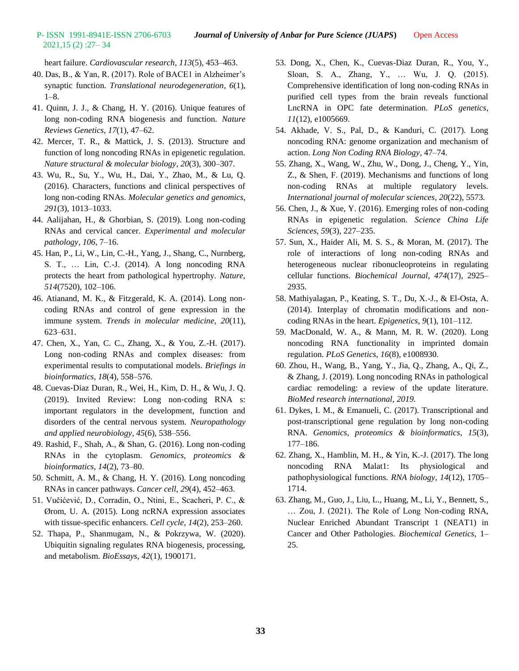# 2021,15 (2) :27– 34

heart failure. *Cardiovascular research*, *113*(5), 453–463.

- 40. Das, B., & Yan, R. (2017). Role of BACE1 in Alzheimer's synaptic function. *Translational neurodegeneration*, *6*(1), 1–8.
- 41. Quinn, J. J., & Chang, H. Y. (2016). Unique features of long non-coding RNA biogenesis and function. *Nature Reviews Genetics*, *17*(1), 47–62.
- 42. Mercer, T. R., & Mattick, J. S. (2013). Structure and function of long noncoding RNAs in epigenetic regulation. *Nature structural & molecular biology*, *20*(3), 300–307.
- 43. Wu, R., Su, Y., Wu, H., Dai, Y., Zhao, M., & Lu, Q. (2016). Characters, functions and clinical perspectives of long non-coding RNAs. *Molecular genetics and genomics*, *291*(3), 1013–1033.
- 44. Aalijahan, H., & Ghorbian, S. (2019). Long non-coding RNAs and cervical cancer. *Experimental and molecular pathology*, *106*, 7–16.
- 45. Han, P., Li, W., Lin, C.-H., Yang, J., Shang, C., Nurnberg, S. T., … Lin, C.-J. (2014). A long noncoding RNA protects the heart from pathological hypertrophy. *Nature*, *514*(7520), 102–106.
- 46. Atianand, M. K., & Fitzgerald, K. A. (2014). Long noncoding RNAs and control of gene expression in the immune system. *Trends in molecular medicine*, *20*(11), 623–631.
- 47. Chen, X., Yan, C. C., Zhang, X., & You, Z.-H. (2017). Long non-coding RNAs and complex diseases: from experimental results to computational models. *Briefings in bioinformatics*, *18*(4), 558–576.
- 48. Cuevas‐Diaz Duran, R., Wei, H., Kim, D. H., & Wu, J. Q. (2019). Invited Review: Long non‐coding RNA s: important regulators in the development, function and disorders of the central nervous system. *Neuropathology and applied neurobiology*, *45*(6), 538–556.
- 49. Rashid, F., Shah, A., & Shan, G. (2016). Long non-coding RNAs in the cytoplasm. *Genomics, proteomics & bioinformatics*, *14*(2), 73–80.
- 50. Schmitt, A. M., & Chang, H. Y. (2016). Long noncoding RNAs in cancer pathways. *Cancer cell*, *29*(4), 452–463.
- 51. Vučićević, D., Corradin, O., Ntini, E., Scacheri, P. C., & Ørom, U. A. (2015). Long ncRNA expression associates with tissue-specific enhancers. *Cell cycle*, *14*(2), 253–260.
- 52. Thapa, P., Shanmugam, N., & Pokrzywa, W. (2020). Ubiquitin signaling regulates RNA biogenesis, processing, and metabolism. *BioEssays*, *42*(1), 1900171.
- 53. Dong, X., Chen, K., Cuevas-Diaz Duran, R., You, Y., Sloan, S. A., Zhang, Y., … Wu, J. Q. (2015). Comprehensive identification of long non-coding RNAs in purified cell types from the brain reveals functional LncRNA in OPC fate determination. *PLoS genetics*, *11*(12), e1005669.
- 54. Akhade, V. S., Pal, D., & Kanduri, C. (2017). Long noncoding RNA: genome organization and mechanism of action. *Long Non Coding RNA Biology*, 47–74.
- 55. Zhang, X., Wang, W., Zhu, W., Dong, J., Cheng, Y., Yin, Z., & Shen, F. (2019). Mechanisms and functions of long non-coding RNAs at multiple regulatory levels. *International journal of molecular sciences*, *20*(22), 5573.
- 56. Chen, J., & Xue, Y. (2016). Emerging roles of non-coding RNAs in epigenetic regulation. *Science China Life Sciences*, *59*(3), 227–235.
- 57. Sun, X., Haider Ali, M. S. S., & Moran, M. (2017). The role of interactions of long non-coding RNAs and heterogeneous nuclear ribonucleoproteins in regulating cellular functions. *Biochemical Journal*, *474*(17), 2925– 2935.
- 58. Mathiyalagan, P., Keating, S. T., Du, X.-J., & El-Osta, A. (2014). Interplay of chromatin modifications and noncoding RNAs in the heart. *Epigenetics*, *9*(1), 101–112.
- 59. MacDonald, W. A., & Mann, M. R. W. (2020). Long noncoding RNA functionality in imprinted domain regulation. *PLoS Genetics*, *16*(8), e1008930.
- 60. Zhou, H., Wang, B., Yang, Y., Jia, Q., Zhang, A., Qi, Z., & Zhang, J. (2019). Long noncoding RNAs in pathological cardiac remodeling: a review of the update literature. *BioMed research international*, *2019*.
- 61. Dykes, I. M., & Emanueli, C. (2017). Transcriptional and post-transcriptional gene regulation by long non-coding RNA. *Genomics, proteomics & bioinformatics*, *15*(3), 177–186.
- 62. Zhang, X., Hamblin, M. H., & Yin, K.-J. (2017). The long noncoding RNA Malat1: Its physiological and pathophysiological functions. *RNA biology*, *14*(12), 1705– 1714.
- 63. Zhang, M., Guo, J., Liu, L., Huang, M., Li, Y., Bennett, S., … Zou, J. (2021). The Role of Long Non-coding RNA, Nuclear Enriched Abundant Transcript 1 (NEAT1) in Cancer and Other Pathologies. *Biochemical Genetics*, 1– 25.